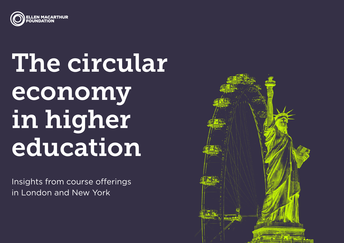

## The circular economy in higher education

Insights from course offerings in London and New York

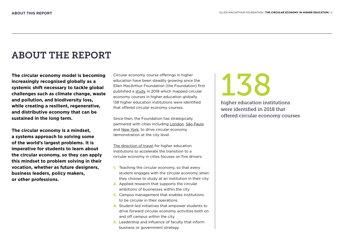### ABOUT THE REPORT

**The circular economy model is becoming increasingly recognised globally as a systemic shift necessary to tackle global challenges such as climate change, waste and pollution, and biodiversity loss, while creating a resilient, regenerative, and distributive economy that can be sustained in the long term.** 

**The circular economy is a mindset, a systems approach to solving some of the world's largest problems. It is imperative for students to learn about the circular economy, so they can apply this mindset to problem solving in their vocation, whether as future designers, business leaders, policy makers, or other professions.**

Circular economy course offerings in higher education have been steadily growing since the Ellen MacArthur Foundation (the Foundation) first published a [study](https://emf.thirdlight.com/link/h60kv7eqgix-2703o4/@/preview/1?o) in 2018 which mapped circular economy courses in higher education globally. 138 higher education institutions were identified that offered circular economy courses.

Since then, the Foundation has strategically partnered with cities including [London,](https://ellenmacarthurfoundation.org/news/london-joins-the-foundation-as-a-strategic-partner-city) [São Paulo](https://ellenmacarthurfoundation.org/news/the-foundation-welcomes-sao-paulo-as-a-strategic-partner-city#:~:text=We%20are%20pleased%20to%20announce,Foundation%20as%20a%20Strategic%20Partner.&text=The%20partnership%20builds%20on%20a,Sustainable%20Development%20Goals%20(SDGs).) and [New York](https://ellenmacarthurfoundation.org/news/new-york-joins-the-foundation-as-a-strategic-partner-city), to drive circular economy demonstration at the city level.

The [direction of travel](https://ellenmacarthurfoundation.org/articles/circular-economy-direction-of-travel-statement-for-londons-higher-education) for higher education institutions to accelerate the transition to a circular economy in cities focuses on five drivers:

- 1. Teaching the circular economy, so that every student engages with the circular economy when they choose to study at an institution in their city
- 2. Applied research that supports the circular ambitions of businesses within the city
- **3.** Campus management that enables institutions to be circular in their operations
- 4. Student-led initiatives that empower students to drive forward circular economy activities both on and off campus within the city
- **5.** Leadership and influence of faculty that inform business or government strategy

138

higher education institutions were identified in 2018 that offered circular economy courses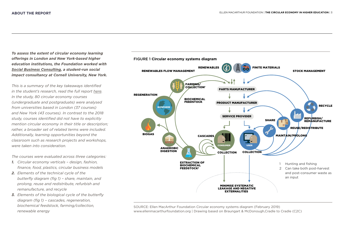*To assess the extent of circular economy learning offerings in London and New York-based higher education institutions, the Foundation worked with [Social Business Consulting](https://www.sbccornell.org/), a student-run social impact consultancy at Cornell University, New York.* 

*This is a summary of the key takeaways identified in the student's research, read the full report [here](https://emf.thirdlight.com/link/99ebj9y2329d-qtuntt/@/preview/1?o). In the study, 80 circular economy courses (undergraduate and postgraduate) were analysed from universities based in London (37 courses) and New York (43 courses). In contrast to the 2018 study, courses identified did not have to explicitly mention circular economy in their title or description; rather, a broader set of related terms were included. Additionally, learning opportunities beyond the classroom such as research projects and workshops, were taken into consideration.*

*The courses were evaluated across three categories:*

- *1. Circular economy verticals design, fashion, finance, food, plastics, circular business models*
- *2. Elements of the technical cycle of the butterfly diagram (fig 1) – share, maintain, and prolong, reuse and redistribute, refurbish and remanufacture, and recycle*
- *3. Elements of the biological cycle of the butterfly diagram (fig 1) – cascades, regeneration, biochemical feedstock, farming/collection, renewable energy*



SOURCE: Ellen MacArthur Foundation Circular economy systems diagram (February 2019) www.ellenmacarthurfoundation.org | Drawing based on Braungart & McDonough,Cradle to Cradle (C2C)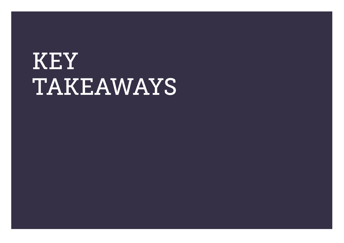## KEY TAKEAWAYS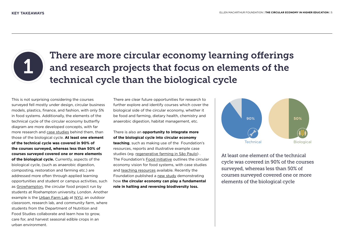

## There are more circular economy learning offerings and research projects that focus on elements of the technical cycle than the biological cycle

This is not surprising considering the courses surveyed fell mostly under design, circular business models, plastics, finance, and fashion, with only 5% in food systems. Additionally, the elements of the technical cycle of the circular economy butterfly diagram are more developed concepts, with far more research and [case studies](https://ellenmacarthurfoundation.org/circular-example-collection) behind them, than those of the biological cycle. **At least one element of the technical cycle was covered in 90% of the courses surveyed, whereas less than 50% of courses surveyed covered one or more elements of the biological cycle.** Currently, aspects of the biological cycle, (such as anaerobic digestion, composting, restoration and farming etc.) are addressed more often through applied learning opportunities and student or campus activities, such as [Growhampton,](https://www.roehamptonstudent.com/growhampton/) the circular food project run by students at Roehampton university, London. Another example is the [Urban Farm Lab](https://steinhardt.nyu.edu/departments/nutrition-and-food-studies/department-labs/nyu-urban-farm-lab) at [NYU](https://ellenmacarthurfoundation.org/new-york-university), an outdoor classroom, research lab, and community farm, where students from the Department of Nutrition and Food Studies collaborate and learn how to grow, care for, and harvest seasonal edible crops in an urban environment.

There are clear future opportunities for research to further explore and identify courses which cover the biological side of the circular economy, whether it be food and farming, dietary health, chemistry and anaerobic digestion, habitat management, etc.

#### There is also an **opportunity to integrate more of the biological cycle into circular economy teaching**, such as making use of the Foundation's resources, reports and illustrative example case studies (eg. [regenerative farming in São Paulo\)](https://ellenmacarthurfoundation.org/circular-examples/connect-the-dots) . The Foundation's [Food Initiative](https://ellenmacarthurfoundation.org/topics/food/overview) outlines the circular economy vision for food systems, with case studies and [teaching resources](https://archive.ellenmacarthurfoundation.org/explore/food-cities-the-circular-economy) available. Recently the Foundation published a [new study d](https://emf.org/topics/biodiversity/overview)emonstrating how **the circular economy can play a fundamental role in halting and reversing biodiversity loss.**



At least one element of the technical cycle was covered in 90% of the courses surveyed, whereas less than 50% of courses surveyed covered one or more elements of the biological cycle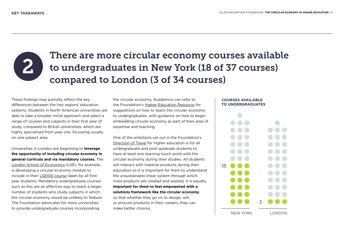

## There are more circular economy courses available to undergraduates in New York (18 of 37 courses) compared to London (3 of 34 courses)

These findings may partially reflect the key differences between the two regions' education systems. Students in North American universities are able to take a broader initial approach and select a range of courses and subjects in their first year of study, compared to British universities, which are highly specialised from year one, focussing usually on one subject area.

Universities in London are beginning to **leverage the opportunity of including circular economy in general curricula and via mandatory courses.** The [London School of Economics \(](https://ellenmacarthurfoundation.org/profiled-university-london-school-of-economics-and-political-science)LSE), for example, is developing a circular economy module to include in their [LSE100](https://info.lse.ac.uk/current-students/lse100) course taken by all firstyear students. Mandatory undergraduate courses such as this are an effective way to reach a larger number of students who study subjects in which the circular economy would be unlikely to feature. The Foundation advocates for more universities to provide undergraduate courses incorporating

the circular economy. Academics can refer to the Foundation's [Higher Education Resource](https://emf.thirdlight.com/link/mk4v9gsntsgm-63ocgv/@/preview/1?o) for suggestions on how to teach the circular economy to undergraduates, with guidance on how to begin embedding circular economy as part of their area of expertise and teaching.

One of the ambitions set out in the Foundation's [Direction of Travel](https://ellenmacarthurfoundation.org/articles/circular-economy-direction-of-travel-statement-for-londons-higher-education) for higher education is for all undergraduate and post-graduate students to have at least one learning touch point with the circular economy during their studies. All students will interact with material products during their education so it is important for them to understand the unsustainable linear system through which most products are created and wasted. It is equally **important for them to feel empowered with a solutions framework like the circular economy**, so that whether they go on to design, sell, or procure products in their careers, they can make better choices.

#### **COURSES AVAILABLE TO UNDERGRADUATES**

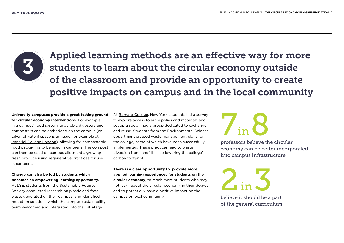

Applied learning methods are an effective way for more students to learn about the circular economy outside of the classroom and provide an opportunity to create positive impacts on campus and in the local community

**University campuses provide a great testing ground for circular economy interventions.** For example, in a campus' food system, anaerobic digesters and composters can be embedded on the campus (or taken off-site if space is an issue, for example at [Imperial College London\)](https://www.imperial.ac.uk/estates-facilities/buildings/services/waste-disposal/initiatives/food-waste-composting/), allowing for compostable food packaging to be used in canteens. The compost can then be used on campus allotments, growing fresh produce using regenerative practices for use in canteens.

**Change can also be led by students which becomes an empowering learning opportunity.**

At LSE, students from the [Sustainable Futures](https://www.sustainablefuturessocietylse.com/)  [Society](https://www.sustainablefuturessocietylse.com/) conducted research on plastic and food waste generated on their campus, and identified reduction solutions which the campus sustainability team welcomed and integrated into their strategy.

At [Barnard College](https://ellenmacarthurfoundation.org/barnard-college), New York, students led a survey to explore access to art supplies and materials and set up a social media group dedicated to exchange and reuse. Students from the Environmental Science department created waste management plans for the college, some of which have been successfully implemented. These practices lead to waste diversion from landfills, also lowering the college's carbon footprint.

**There is a clear opportunity to provide more applied learning experiences for students on the circular economy**, to reach more students who may not learn about the circular economy in their degree, and to potentially have a positive impact on the campus or local community.

## 7 in 8

professors believe the circular economy can be better incorporated into campus infrastructure

2  $\frac{5}{10}$ 

believe it should be a part of the general curriculum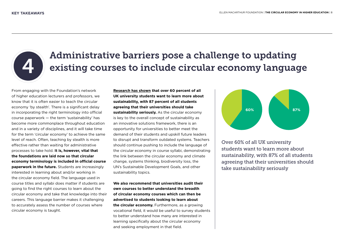

## Administrative barriers pose a challenge to updating existing courses to include circular economy language

From engaging with the Foundation's network of higher education lecturers and professors, we know that it is often easier to teach the circular economy 'by stealth'. There is a significant delay in incorporating the right terminology into official course paperwork — the term 'sustainability' has become more commonplace throughout education and in a variety of disciplines, and it will take time for the term 'circular economy' to achieve the same level of reach. Often, teaching by stealth is more effective rather than waiting for administrative processes to take hold. **It is, however, vital that the foundations are laid now so that circular economy terminology is included in official course paperwork in the future.** Students are increasingly interested in learning about and/or working in the circular economy field. The language used in course titles and syllabi does matter if students are going to find the right courses to learn about the circular economy and take that knowledge into their careers. This language barrier makes it challenging to accurately assess the number of courses where circular economy is taught.

**[Research has shown](https://www.sos-uk.org/post/two-thirds-of-students-want-to-learn-more-about-sustainability) that over 60 percent of all UK university students want to learn more about sustainability, with 87 percent of all students agreeing that their universities should take sustainability seriously.** As the circular economy is key to the overall concept of sustainability as an innovative solutions framework, there is an opportunity for universities to better meet the demand of their students and upskill future leaders to disrupt and transform outdated systems. Teachers should continue pushing to include the language of the circular economy in course syllabi, demonstrating the link between the circular economy and climate change, systems thinking, biodiversity loss, the UN's Sustainable Development Goals, and other sustainability topics.

**We also recommend that universities audit their own courses to better understand the breadth of circular economy courses which can then be advertised to students looking to learn about the circular economy.** Furthermore, as a growing vocational field, it would be useful to survey students to better understand how many are interested in learning specifically about the circular economy and seeking employment in that field.



Over 60% of all UK university students want to learn more about sustainability, with 87% of all students agreeing that their universities should take sustainability seriously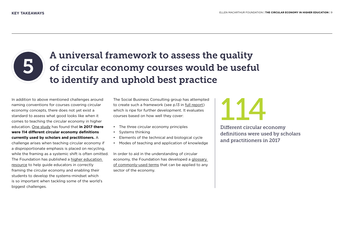

## A universal framework to assess the quality of circular economy courses would be useful to identify and uphold best practice

In addition to above mentioned challenges around naming conventions for courses covering circular economy concepts, there does not yet exist a standard to assess what good looks like when it comes to teaching the circular economy in higher education. [One study](https://www.sciencedirect.com/science/article/pii/S0921344917302835) has found that **in 2017 there were 114 different circular economy definitions currently used by scholars and practitioners.** A

challenge arises when teaching circular economy if a disproportionate emphasis is placed on recycling, while the framing as a systemic shift is often omitted. The Foundation has published a [higher education](https://emf.thirdlight.com/link/mk4v9gsntsgm-63ocgv/@/preview/1?o)  [resource](https://emf.thirdlight.com/link/mk4v9gsntsgm-63ocgv/@/preview/1?o) to help guide educators in correctly framing the circular economy and enabling their students to develop the systems-mindset which is so important when tackling some of the world's biggest challenges.

The Social Business Consulting group has attempted to create such a framework (see p.13 in [full report\)](https://emf.thirdlight.com/link/99ebj9y2329d-qtuntt/@/preview/1?o) which is ripe for further development. It evaluates courses based on how well they cover:

- The three circular economy principles
- Systems thinking
- Elements of the technical and biological cycle
- Modes of teaching and application of knowledge

In order to aid in the understanding of circular economy, the Foundation has developed a [glossary](https://ellenmacarthurfoundation.org/topics/circular-economy-introduction/glossary)  [of commonly-used terms](https://ellenmacarthurfoundation.org/topics/circular-economy-introduction/glossary) that can be applied to any sector of the economy.

# 114

Different circular economy definitions were used by scholars and practitioners in 2017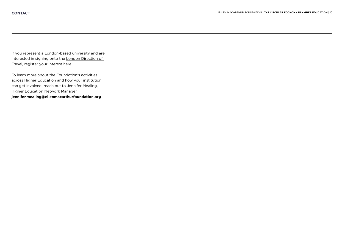If you represent a London-based university and are interested in signing onto the [London Direction of](https://ellenmacarthurfoundation.org/articles/circular-economy-direction-of-travel-statement-for-londons-higher-education)  [Travel,](https://ellenmacarthurfoundation.org/articles/circular-economy-direction-of-travel-statement-for-londons-higher-education) [register your interest here.](https://ellenmacarthurfoundation.wufoo.com/forms/m101omtl1vh8d4f/)

To learn more about the Foundation's activities across Higher Education and how your institution can get involved, reach out to Jennifer Mealing, Higher Education Network Manager **jennifer.mealing@ellenmacarthurfoundation.org**